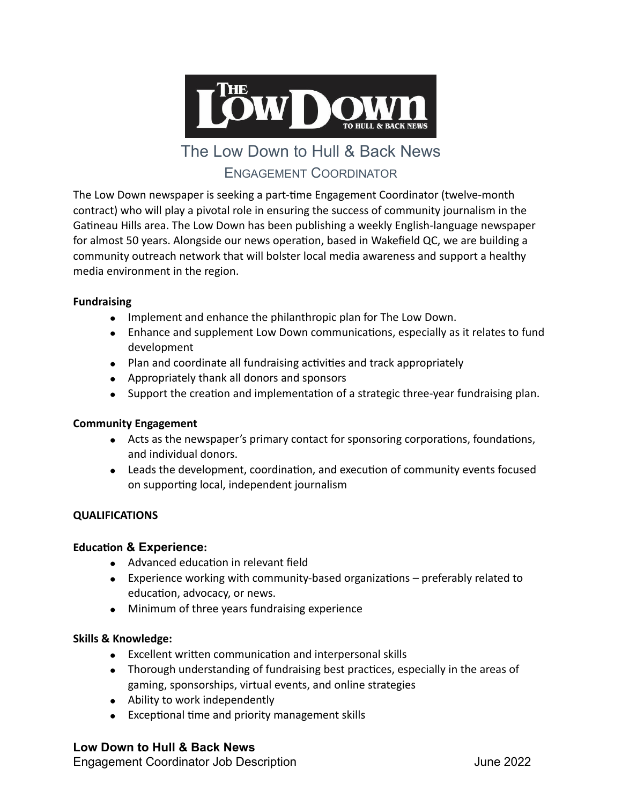

# The Low Down to Hull & Back News ENGAGEMENT COORDINATOR

The Low Down newspaper is seeking a part-time Engagement Coordinator (twelve-month contract) who will play a pivotal role in ensuring the success of community journalism in the Gatineau Hills area. The Low Down has been publishing a weekly English-language newspaper for almost 50 years. Alongside our news operation, based in Wakefield QC, we are building a community outreach network that will bolster local media awareness and support a healthy media environment in the region.

### **Fundraising**

- Implement and enhance the philanthropic plan for The Low Down.
- Enhance and supplement Low Down communications, especially as it relates to fund development
- Plan and coordinate all fundraising activities and track appropriately
- Appropriately thank all donors and sponsors
- Support the creation and implementation of a strategic three-year fundraising plan.

#### **Community Engagement**

- Acts as the newspaper's primary contact for sponsoring corporations, foundations, and individual donors.
- Leads the development, coordination, and execution of community events focused on supporting local, independent journalism

## **QUALIFICATIONS**

## **Education & Experience:**

- Advanced education in relevant field
- Experience working with community-based organizations preferably related to education, advocacy, or news.
- Minimum of three years fundraising experience

#### **Skills & Knowledge:**

- Excellent written communication and interpersonal skills
- Thorough understanding of fundraising best practices, especially in the areas of gaming, sponsorships, virtual events, and online strategies
- Ability to work independently
- Exceptional time and priority management skills

## **Low Down to Hull & Back News**

Engagement Coordinator Job Description **Figure 2022**